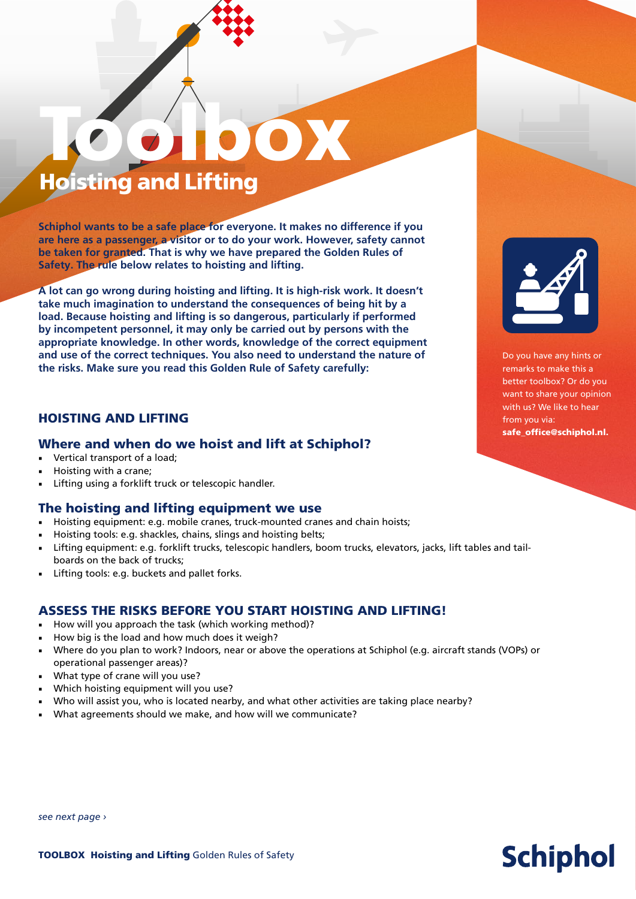# Toolbox Hoisting and Lifting

**Schiphol wants to be a safe place for everyone. It makes no difference if you are here as a passenger, a visitor or to do your work. However, safety cannot be taken for granted. That is why we have prepared the Golden Rules of Safety. The rule below relates to hoisting and lifting.** 

**A lot can go wrong during hoisting and lifting. It is high-risk work. It doesn't take much imagination to understand the consequences of being hit by a load. Because hoisting and lifting is so dangerous, particularly if performed by incompetent personnel, it may only be carried out by persons with the appropriate knowledge. In other words, knowledge of the correct equipment and use of the correct techniques. You also need to understand the nature of the risks. Make sure you read this Golden Rule of Safety carefully:** 

## HOISTING AND LIFTING

#### Where and when do we hoist and lift at Schiphol?

- Vertical transport of a load;
- Hoisting with a crane;
- Lifting using a forklift truck or telescopic handler.

## The hoisting and lifting equipment we use

- Hoisting equipment: e.g. mobile cranes, truck-mounted cranes and chain hoists;
- Hoisting tools: e.g. shackles, chains, slings and hoisting belts;
- Lifting equipment: e.g. forklift trucks, telescopic handlers, boom trucks, elevators, jacks, lift tables and tailboards on the back of trucks;
- Lifting tools: e.g. buckets and pallet forks.

## ASSESS THE RISKS BEFORE YOU START HOISTING AND LIFTING!

- How will you approach the task (which working method)?
- How big is the load and how much does it weigh?
- Where do you plan to work? Indoors, near or above the operations at Schiphol (e.g. aircraft stands (VOPs) or operational passenger areas)?
- What type of crane will you use?
- Which hoisting equipment will you use?
- Who will assist you, who is located nearby, and what other activities are taking place nearby?
- What agreements should we make, and how will we communicate?



Do you have any hints or remarks to make this a better toolbox? Or do you want to share your opinion with us? We like to hear from you via: safe\_office@schiphol.nl.

**Schiphol** 

#### *see next page ›*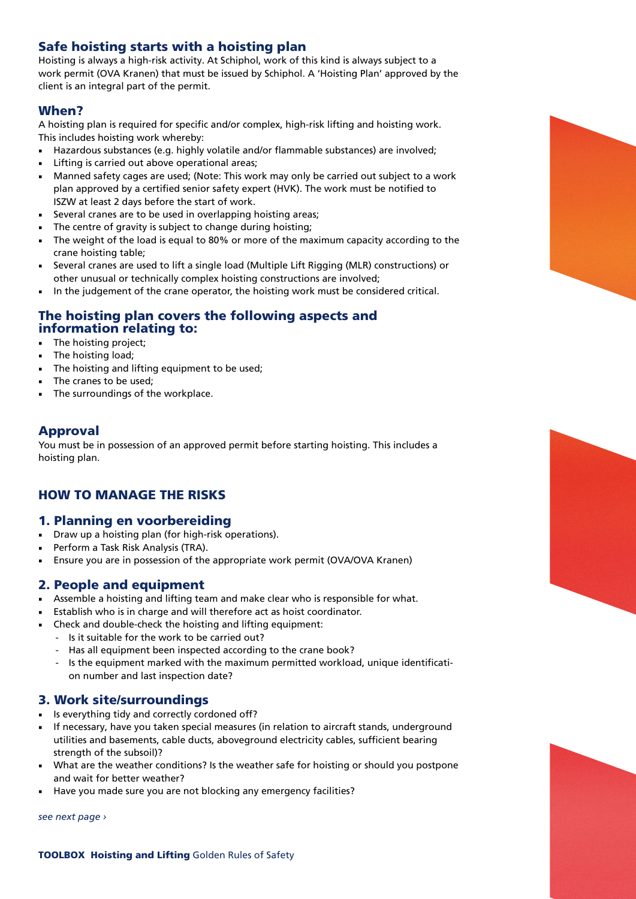## Safe hoisting starts with a hoisting plan

Hoisting is always a high-risk activity. At Schiphol, work of this kind is always subject to a work permit (OVA Kranen) that must be issued by Schiphol. A 'Hoisting Plan' approved by the client is an integral part of the permit.

## When?

A hoisting plan is required for specific and/or complex, high-risk lifting and hoisting work. This includes hoisting work whereby:

- Hazardous substances (e.g. highly volatile and/or flammable substances) are involved;
- Lifting is carried out above operational areas;
- Manned safety cages are used; (Note: This work may only be carried out subject to a work plan approved by a certified senior safety expert (HVK). The work must be notified to ISZW at least 2 days before the start of work.
- Several cranes are to be used in overlapping hoisting areas;
- The centre of gravity is subject to change during hoisting;
- The weight of the load is equal to 80% or more of the maximum capacity according to the crane hoisting table;
- Several cranes are used to lift a single load (Multiple Lift Rigging (MLR) constructions) or other unusual or technically complex hoisting constructions are involved;
- In the judgement of the crane operator, the hoisting work must be considered critical.

## The hoisting plan covers the following aspects and information relating to:

- The hoisting project;
- The hoisting load;
- The hoisting and lifting equipment to be used;
- The cranes to be used;
- The surroundings of the workplace.

## Approval

You must be in possession of an approved permit before starting hoisting. This includes a hoisting plan.

## HOW TO MANAGE THE RISKS

## 1. Planning en voorbereiding

- Draw up a hoisting plan (for high-risk operations).
- Perform a Task Risk Analysis (TRA).
- Ensure you are in possession of the appropriate work permit (OVA/OVA Kranen)

## 2. People and equipment

- Assemble a hoisting and lifting team and make clear who is responsible for what.
- Establish who is in charge and will therefore act as hoist coordinator.
- Check and double-check the hoisting and lifting equipment:
	- Is it suitable for the work to be carried out?
	- Has all equipment been inspected according to the crane book?
	- Is the equipment marked with the maximum permitted workload, unique identification number and last inspection date?

## 3. Work site/surroundings

- Is everything tidy and correctly cordoned off?
- If necessary, have you taken special measures (in relation to aircraft stands, underground utilities and basements, cable ducts, aboveground electricity cables, sufficient bearing strength of the subsoil)?
- What are the weather conditions? Is the weather safe for hoisting or should you postpone and wait for better weather?
- Have you made sure you are not blocking any emergency facilities?

*see next page ›*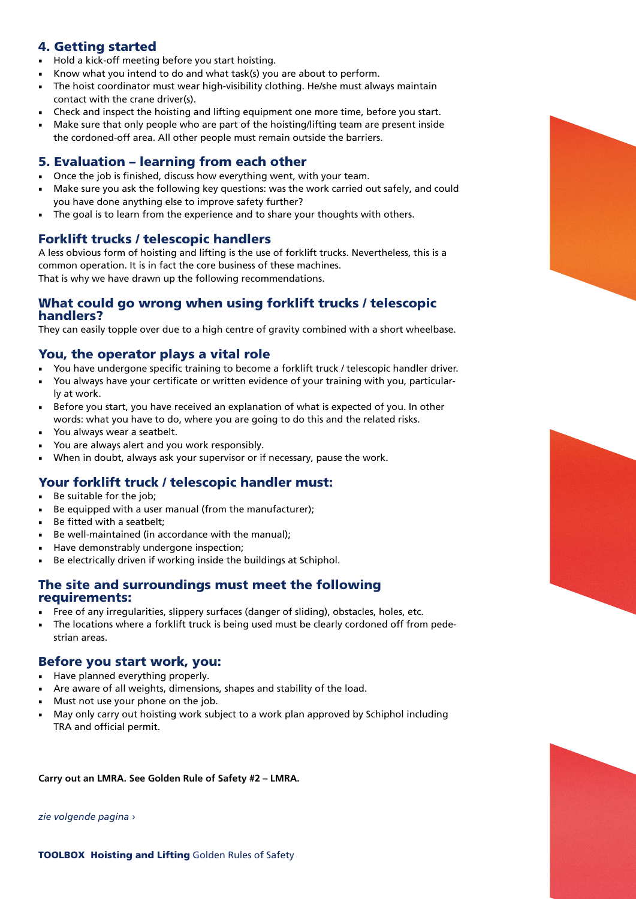## 4. Getting started

- Hold a kick-off meeting before you start hoisting.
- Know what you intend to do and what task(s) you are about to perform.
- The hoist coordinator must wear high-visibility clothing. He/she must always maintain contact with the crane driver(s).
- Check and inspect the hoisting and lifting equipment one more time, before you start.
- Make sure that only people who are part of the hoisting/lifting team are present inside the cordoned-off area. All other people must remain outside the barriers.

## 5. Evaluation – learning from each other

- Once the job is finished, discuss how everything went, with your team.
- Make sure you ask the following key questions: was the work carried out safely, and could you have done anything else to improve safety further?
- The goal is to learn from the experience and to share your thoughts with others.

## Forklift trucks / telescopic handlers

A less obvious form of hoisting and lifting is the use of forklift trucks. Nevertheless, this is a common operation. It is in fact the core business of these machines. That is why we have drawn up the following recommendations.

#### What could go wrong when using forklift trucks / telescopic handlers?

They can easily topple over due to a high centre of gravity combined with a short wheelbase.

## You, the operator plays a vital role

- You have undergone specific training to become a forklift truck / telescopic handler driver.
- You always have your certificate or written evidence of your training with you, particularly at work.
- Before you start, you have received an explanation of what is expected of you. In other words: what you have to do, where you are going to do this and the related risks.
- You always wear a seatbelt.
- You are always alert and you work responsibly.
- When in doubt, always ask your supervisor or if necessary, pause the work.

## Your forklift truck / telescopic handler must:

- Be suitable for the job;
- Be equipped with a user manual (from the manufacturer);
- Be fitted with a seatbelt:
- Be well-maintained (in accordance with the manual);
- Have demonstrably undergone inspection:
- Be electrically driven if working inside the buildings at Schiphol.

## The site and surroundings must meet the following requirements:

- Free of any irregularities, slippery surfaces (danger of sliding), obstacles, holes, etc.
- The locations where a forklift truck is being used must be clearly cordoned off from pedestrian areas.

## Before you start work, you:

- Have planned everything properly.
- Are aware of all weights, dimensions, shapes and stability of the load.
- Must not use your phone on the job.
- May only carry out hoisting work subject to a work plan approved by Schiphol including TRA and official permit.

#### **Carry out an LMRA. See Golden Rule of Safety #2 – LMRA.**

*zie volgende pagina ›*